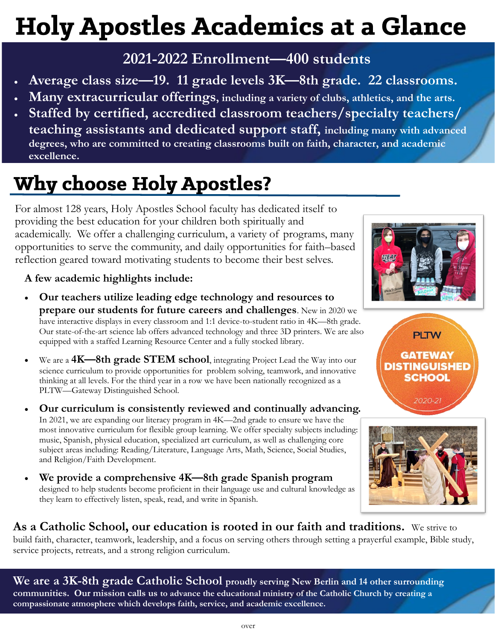# **Holy Apostles Academics at a Glance**

## **2021-2022 Enrollment—400 students**

- **Average class size—19. 11 grade levels 3K—8th grade. 22 classrooms.**
- **Many extracurricular offerings, including a variety of clubs, athletics, and the arts.**
- **Staffed by certified, accredited classroom teachers/specialty teachers/ teaching assistants and dedicated support staff, including many with advanced degrees, who are committed to creating classrooms built on faith, character, and academic excellence.**

# **Why choose Holy Apostles?**

For almost 128 years, Holy Apostles School faculty has dedicated itself to providing the best education for your children both spiritually and academically. We offer a challenging curriculum, a variety of programs, many opportunities to serve the community, and daily opportunities for faith–based reflection geared toward motivating students to become their best selves.

#### **A few academic highlights include:**

- **Our teachers utilize leading edge technology and resources to prepare our students for future careers and challenges**. New in 2020 we have interactive displays in every classroom and 1:1 device-to-student ratio in 4K—8th grade. Our state-of-the-art science lab offers advanced technology and three 3D printers. We are also equipped with a staffed Learning Resource Center and a fully stocked library.
- We are a **4K—8th grade STEM school**, integrating Project Lead the Way into our science curriculum to provide opportunities for problem solving, teamwork, and innovative thinking at all levels. For the third year in a row we have been nationally recognized as a PLTW—Gateway Distinguished School.
- **Our curriculum is consistently reviewed and continually advancing.**  In 2021, we are expanding our literacy program in 4K—2nd grade to ensure we have the most innovative curriculum for flexible group learning. We offer specialty subjects including: music, Spanish, physical education, specialized art curriculum, as well as challenging core subject areas including: Reading/Literature, Language Arts, Math, Science, Social Studies, and Religion/Faith Development.
- **We provide a comprehensive 4K—8th grade Spanish program**  designed to help students become proficient in their language use and cultural knowledge as they learn to effectively listen, speak, read, and write in Spanish.







### **As a Catholic School, our education is rooted in our faith and traditions.** We strive to

build faith, character, teamwork, leadership, and a focus on serving others through setting a prayerful example, Bible study, service projects, retreats, and a strong religion curriculum.

**We are a 3K-8th grade Catholic School proudly serving New Berlin and 14 other surrounding communities. Our mission calls us to advance the educational ministry of the Catholic Church by creating a compassionate atmosphere which develops faith, service, and academic excellence.**